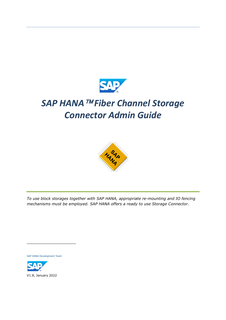

# *SAP HANA Fiber Channel Storage Connector Admin Guide*



*To use block storages together with SAP HANA, appropriate re-mounting and IO fencing mechanisms must be employed. SAP HANA offers a ready to use Storage Connector.*

SAP HANA Development Team

\_\_\_\_\_\_\_\_\_\_\_\_\_\_\_\_\_\_\_\_\_\_\_\_\_\_

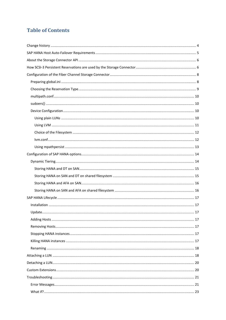## **Table of Contents**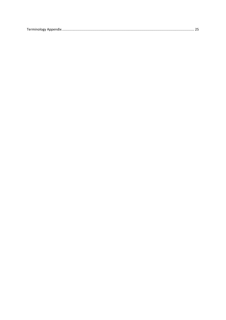|--|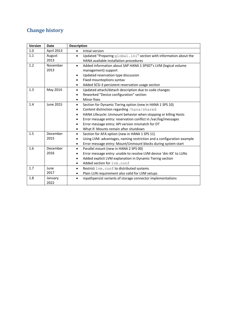## <span id="page-3-0"></span>**Change history**

| Version | <b>Date</b>      | <b>Description</b>                                                                                                                                                                                                                                                                                                                                                            |  |  |
|---------|------------------|-------------------------------------------------------------------------------------------------------------------------------------------------------------------------------------------------------------------------------------------------------------------------------------------------------------------------------------------------------------------------------|--|--|
| 1.0     | April 2013       | Initial version<br>$\bullet$                                                                                                                                                                                                                                                                                                                                                  |  |  |
| 1.1     | August<br>2013   | Updated "Preparing qlobal.ini" section with information about the<br>$\bullet$<br>HANA available installation procedures                                                                                                                                                                                                                                                      |  |  |
| 1.2     | November<br>2013 | Added information about SAP HANA 1 SPS07's LVM (logical volume<br>$\bullet$<br>management) support<br>Updated reservation type discussion<br>$\bullet$<br>Fixed mountoptions syntax<br>٠<br>Added SCSi-3 persistent reservation usage section<br>$\bullet$                                                                                                                    |  |  |
| 1.3     | May 2014         | Updated attach/detach description due to code changes<br>$\bullet$<br>Reworked "Device configuration" section<br>Minor fixes<br>$\bullet$                                                                                                                                                                                                                                     |  |  |
| 1.4     | <b>June 2015</b> | Section for Dynamic Tiering option (new in HANA 1 SPS 10)<br>$\bullet$<br>Content distinction regarding /hana/shared<br>٠<br>HANA Lifecycle: Unmount behavior when stopping or killing Hosts<br>٠<br>Error message entry: reservation conflict in /var/log/messages<br>Error message entry: API version mismatch for DT<br>$\bullet$<br>What if: Mounts remain after shutdown |  |  |
| 1.5     | December<br>2015 | Section for AFA option (new in HANA 1 SPS 11)<br>$\bullet$<br>Using LVM: advantages, naming restriction and a configuration example<br>Error message entry: Mount/Unmount blocks during system start<br>$\bullet$                                                                                                                                                             |  |  |
| 1.6     | December<br>2016 | Parallel mount (new in HANA 2 SPS 00)<br>$\bullet$<br>Error message entry: unable to resolve LVM device 'dm-XX' to LUNs<br>Added explicit LVM explanation in Dynamic Tiering section<br>٠<br>Added section for lvm.conf<br>٠                                                                                                                                                  |  |  |
| 1.7     | June<br>2017     | Restrict lvm.conf to distributed systems<br>$\bullet$<br>Plain LUN requirement also valid for LVM setups<br>٠                                                                                                                                                                                                                                                                 |  |  |
| 1.8     | January<br>2022  | mpathpersist variants of storage connector implementations                                                                                                                                                                                                                                                                                                                    |  |  |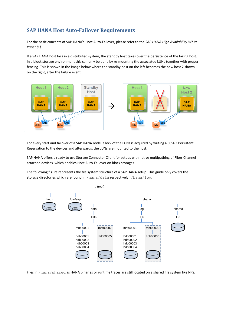## <span id="page-4-0"></span>**SAP HANA Host Auto-Failover Requirements**

For the basic concepts of SAP HANA's Host Auto-Failover, please refer to the *SAP HANA High Availability White Paper [1]*.

If a SAP HANA host fails in a distributed system, the standby host takes over the persistence of the failing host. In a block storage environment this can only be done by re-mounting the associated LUNs together with proper fencing. This is shown in the image below where the standby host on the left becomes the new host 2 shown on the right, after the failure event.



For every start and failover of a SAP HANA node, a lock of the LUNs is acquired by writing a SCSI-3 Persistent Reservation to the devices and afterwards, the LUNs are mounted to the host.

SAP HANA offers a ready to use Storage Connector Client for setups with native multipathing of Fiber Channel attached devices, which enables Host Auto-Failover on block storages.

The following figure represents the file system structure of a SAP HANA setup. This guide only covers the storage directories which are found in /hana/data respectively /hana/log.



Files in /hana/shared as HANA binaries or runtime traces are still located on a shared file system like NFS.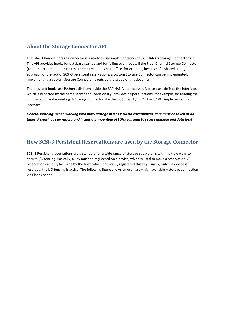## <span id="page-5-0"></span>**About the Storage Connector API**

The Fiber Channel Storage Connector is a ready to use implementation of SAP HANA's Storage Connector API. This API provides hooks for database startup and for failing-over nodes. If the Fiber Channel Storage Connector (referred to as fcClient/fcClientLVM) does not suffice, for example, because of a shared storage approach or the lack of SCSI-3 persistent reservations, a custom Storage Connector can be implemented. Implementing a custom Storage Connector is outside the scope of this document.

The provided hooks are Python calls from inside the SAP HANA nameserver. A base class defines the interface, which is expected by the name server and, additionally, provides helper functions; for example, for reading the configuration and mounting. A Storage Connector like the  $fcclimit/fcclimit$ , implements this interface.

*General warning: When working with block storage in a SAP HANA environment, care must be taken at all times. Releasing reservations and incautious mounting of LUNs can lead to severe damage and data loss!*

## <span id="page-5-1"></span>**How SCSI-3 Persistent Reservations are used by the Storage Connector**

SCSI-3 Persistent reservations are a standard for a wide range of storage subsystems with multiple ways to ensure I/O fencing. Basically, a key must be registered on a device, which is used to make a reservation. A reservation can only be made by the host, which previously registered this key. Finally, only if a device is reserved, the I/O fencing is active. The following figure shows an ordinary – high available – storage connection via Fiber Channel: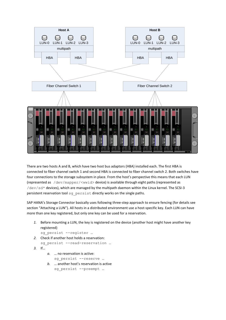

There are two hosts A and B, which have two host bus adaptors (HBA) installed each. The first HBA is connected to fiber channel switch 1 and second HBA is connected to fiber channel switch 2. Both switches have four connections to the storage subsystem in place. From the host's perspective this means that each LUN (represented as /dev/mapper/<wwid> device) is available through eight paths (represented as /dev/sd\* devices), which are managed by the multipath daemon within the Linux kernel. The SCSI-3 persistent reservation tool sg\_persist directly works on the single paths.

SAP HANA's Storage Connector basically uses following three-step approach to ensure fencing (for details see section "[Attaching a LUN](#page-17-1)"). All hosts in a distributed environment use a host-specific key. Each LUN can have more than one key registered, but only one key can be used for a reservation.

*1.* Before mounting a LUN, the key is registered on the device (another host might have another key registered)

```
sg persist --register …
```
- *2.* Check if another host holds a reservation: sg persist --read-reservation ...
- *3.* If…
- *a.* … no reservation is active: sg persist --reserve …
- *b.* … another host's reservation is active sg\_persist --preempt …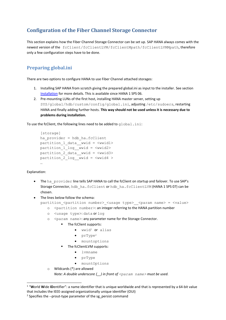## <span id="page-7-0"></span>**Configuration of the Fiber Channel Storage Connector**

This section explains how the Fiber Channel Storage Connector can be set up. SAP HANA always comes with the newest version of the fcClient/fcClientLVM/fcClientMpath/fcClientLVMMpath, therefore only a few configuration steps have to be done.

## <span id="page-7-1"></span>**Preparing global.ini**

There are two options to configure HANA to use Fiber Channel attached storages:

- 1. Installing SAP HANA from scratch giving the prepared global.ini as input to the installer. See section [Installation](#page-16-1) for more details. This is available since HANA 1 SPS 06.
- 2. Pre-mounting LUNs of the first host, installing HANA master server, setting up SYS/global/hdb/custom/config/global.ini, adjusting /etc/sudoers, restarting HANA and finally adding further hosts. **This way should not be used unless it is necessary due to problems during installation.**

To use the fcClient, the following lines need to be added to  $global$ . ini:

```
[storage]
ha_provider = hdb_ha.fcClient
partition_1_data__wwid = <wwid1>
partition 1 log wwid = \langlewwid2>
partition 2 data wwid = <wwid3>
partition 2 log wwid = <wwid4 >
…
```
#### Explanation:

- The ha\_provider line tells SAP HANA to call the fcClient on startup and failover. To use SAP's Storage Connector, hdb ha.fcClient or hdb ha.fcClientLVM (HANA 1 SPS 07) can be chosen.
- The lines below follow the schema:

```
partition <partition number> <usage type> <param name> = <value>
```
- o <partition number>: an integer referring to the HANA partition number
- o <usage type>: data or log
- o <param name>: any parameter name for the Storage Connector.
	- The fcClient supports:
		- wwid<sup>1</sup> or alias
		- $\bullet$  prType<sup>2</sup>
		- mountoptions
		- The fcClientLVM supports:
			- lvmname
			- prType
			- mountOptions

```
o Wildcards (*) are allowed
```
*Note: A double underscore (\_\_) in front of <param name> must be used.*

<sup>1</sup> "**W**orld **W**ide **ID**entifier": a name identifier that is unique worldwide and that is represented by a 64-bit value that includes the IEEE-assigned organizationally unique identifier (OUI)

 $2$  Specifies the --prout-type parameter of the sg\_persist command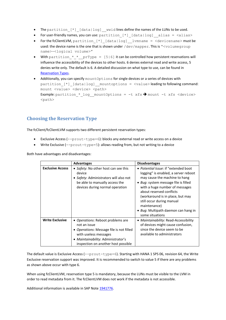- The partition\_[\*]\_[data|log]\_wwid lines define the names of the LUNs to be used.
- For user-friendly names, you can use: partition [\*] [data|log] alias = <alias>
- For the fcClientLVM, partition [\*] [data|log] lvmname = <devicename> must be used: the device name is the one that is shown under /dev/mapper. This is "<volumegroup name>-<logical volume>"
- With partition  $*$   $*$  prType = [5|6] it can be controlled how persistent reservations will influence the accessibility of the devices to other hosts. 6 denies external read and write access, 5 denies write only. The default is 6. A detailed discussion on what type to use, can be found in Reservation Types.
- Additionally, you can specify mountOptions for single devices or a series of devices with partition  $[*]$   $[data|log]$  mountoptions =  $\langle value \rangle$  leading to following command: mount <value> <device> <path> Example: partition \* log mountOptions =  $-t$  xfs  $\rightarrow$  mount  $-t$  xfs <device> <path>

## <span id="page-8-0"></span>**Choosing the Reservation Type**

The fcClient/fcClientLVM supports two different persistent reservation types:

- Exclusive Access ( $-p\text{rout-type}=6$ ): blocks any external read or write access on a device
- Write Exclusive  $(-$ -prout-type=5): allows reading from, but not writing to a device

Both have advantages and disadvantages:

|                         | <b>Advantages</b>                                                                                                                                                                                   | <b>Disadvantages</b>                                                                                                                                                                                                                                                                                                                                           |
|-------------------------|-----------------------------------------------------------------------------------------------------------------------------------------------------------------------------------------------------|----------------------------------------------------------------------------------------------------------------------------------------------------------------------------------------------------------------------------------------------------------------------------------------------------------------------------------------------------------------|
| <b>Exclusive Access</b> | • Safety: No other host can see this<br>device<br>• Safety: Administrators will also not<br>be able to manually access the<br>devices during normal operation                                       | • Potential Issue: if "extended boot<br>logging" is enabled, a server reboot<br>may cause the machine to hang<br>• Bug: system message file is filled<br>with a huge number of messages<br>about reserved conflicts<br>(workaround is in place, but may<br>still occur during manual<br>maintenance)<br>• Bug: Multipath daemon can hang in<br>some situations |
| <b>Write Exclusive</b>  | • Operations: Reboot problems are<br>not an issue<br>• Operations: Message file is not filled<br>with useless messages<br>· Maintainability: Administrator's<br>inspection on another host possible | • Maintainability: Read-Accessibility<br>of devices might cause confusion,<br>since the device seem to be<br>available to administrators                                                                                                                                                                                                                       |

The default value is Exclusive Access ( $-\text{protut-type=6}$ ). Starting with HANA 1 SPS 06, revision 64, the Write Exclusive reservation support was improved. It is recommended to switch to value 5 if there are any problems as shown above occur with type 6.

When using fcClientLVM, reservation type 5 is mandatory, because the LUNs must be visible to the LVM in order to read metadata from it. The fcClientLVM does not work if the metadata is not accessible.

Additional information is available in SAP Note [1941776.](http://service.sap.com/sap/support/notes/1941776)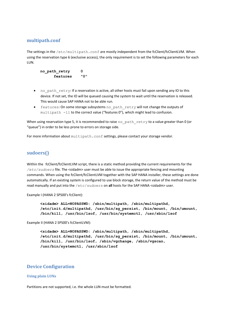### <span id="page-9-0"></span>**multipath.conf**

The settings in the /etc/multipath.conf are mostly independent from the fcClient/fcClientLVM. When using the reservation type 6 (exclusive access), the only requirement is to set the following parameters for each LUN.

**no\_path\_retry 0 features "0"**

- no path retry: If a reservation is active, all other hosts must fail upon sending any IO to this device. If not set, the IO will be queued causing the system to wait until the reservation is released. This would cause SAP HANA not to be able run.
- features: On some storage subsystems no\_path\_retry will not change the outputs of multipath -ll to the correct value ("features 0"), which might lead to confusion.

When using reservation type 5, it is recommended to raise no  $path$  retry to a value greater than 0 (or "queue") in order to be less prone to errors on storage side.

For more information about multipath.conf settings, please contact your storage vendor.

### <span id="page-9-4"></span><span id="page-9-1"></span>**sudoers()**

Within the fcClient/fcClientLVM script, there is a static method providing the current requirements for the */etc/sudoers* file. The <sidadm> user must be able to issue the appropriate fencing and mounting commands. When using the fcClient/fcClientLVM together with the SAP HANA installer, these settings are done automatically. If an existing system is configured to use block storage, the return value of the method must be read manually and put into the /etc/sudoers on **all** hosts for the SAP HANA <sidadm> user.

Example I (HANA 2 SPS00's fcClient):

```
<sidadm> ALL=NOPASSWD: /sbin/multipath, /sbin/multipathd, 
/etc/init.d/multipathd, /usr/bin/sg_persist, /bin/mount, /bin/umount, 
/bin/kill, /usr/bin/lsof, /usr/bin/systemctl, /usr/sbin/lsof
```
Example II (HANA 2 SPS00's fcClientLVM):

```
<sidadm> ALL=NOPASSWD: /sbin/multipath, /sbin/multipathd, 
/etc/init.d/multipathd, /usr/bin/sg_persist, /bin/mount, /bin/umount, 
/bin/kill, /usr/bin/lsof, /sbin/vgchange, /sbin/vgscan, 
/usr/bin/systemctl, /usr/sbin/lsof
```
#### <span id="page-9-2"></span>**Device Configuration**

#### <span id="page-9-3"></span>**Using plain LUNs**

Partitions are not supported, i.e. the whole LUN must be formatted.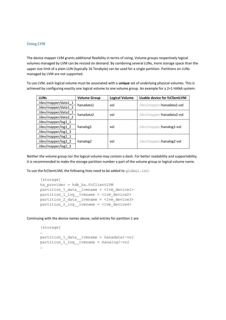#### <span id="page-10-0"></span>**Using LVM**

The device mapper LVM grants additional flexibility in terms of sizing. Volume groups respectively logical volumes managed by LVM can be resized on demand. By combining several LUNs, more storage space than the upper size limit of a plain LUN (typically 16 Terabyte) can be used for a single partition. Partitions on LUNs managed by LVM are not supported.

To use LVM, each logical volume must be associated with a **unique** set of underlying physical volumes. This is achieved by configuring exactly one logical volume to one volume group. An example for a 2+1 HANA system:

| <b>LUNs</b>         | <b>Volume Group</b>  | <b>Logical Volume</b> | <b>Usable device for fcClientLVM</b> |  |
|---------------------|----------------------|-----------------------|--------------------------------------|--|
| /dev/mapper/data1_1 | hanadata1            |                       |                                      |  |
| /dev/mapper/data1 2 |                      | vol                   | /dev/mapper/hanadata1-vol            |  |
| /dev/mapper/data2_1 | hanadata2            | vol                   |                                      |  |
| /dev/mapper/data2 2 |                      |                       | /dev/mapper/hanadata2-vol            |  |
| /dev/mapper/log1_1  |                      | vol                   |                                      |  |
| /dev/mapper/log1_2  | hanalog1             |                       | /dev/mapper/hanalog1-vol             |  |
| /dev/mapper/log1 3  |                      |                       |                                      |  |
| /dev/mapper/log2_1  |                      |                       | /dev/mapper/hanalog2-vol             |  |
| /dev/mapper/log2_2  | hanalog <sub>2</sub> | vol                   |                                      |  |
| /dev/mapper/log2 3  |                      |                       |                                      |  |

Neither the volume group nor the logical volume may contain a dash. For better readability and supportability, it is recommended to make the storage partition number a part of the volume group or logical volume name.

To use the fcClientLVM, the following lines need to be added to global.ini:

```
[storage]
ha_provider = hdb_ha.fcClientLVM
partition 1 data lvmname = <lvm device1>
partition_1_log__lvmname = <lvm_device2>
partition 2 data lvmname = <lvm device3>
partition 2 log lvmname = <lvm device4>
```
Continuing with the device names above, valid entries for partition 1 are

```
[storage] 
…
partition_1_data__lvmname = hanadata1-vol
partition_1_log__lvmname = hanalog1-vol
…
```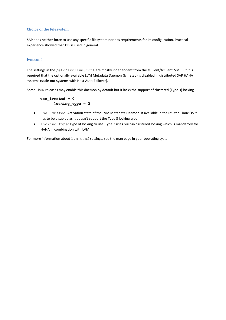#### <span id="page-11-0"></span>**Choice of the Filesystem**

SAP does neither force to use any specific filesystem nor has requirements for its configuration. Practical experience showed that XFS is used in general.

#### <span id="page-11-1"></span>**lvm.conf**

The settings in the /etc/lvm/lvm.conf are mostly independent from the fcClient/fcClientLVM. But it is required that the optionally available LVM Metadata Daemon (lvmetad) is disabled in distributed SAP HANA systems (scale-out systems with Host Auto-Failover).

Some Linux releases may enable this daemon by default but it lacks the support of clustered (Type 3) locking.

**use\_lvmetad = 0** l**ocking\_type = 3**

- use\_lvmetad: Activation state of the LVM Metadata Daemon. If available in the utilized Linux OS it has to be disabled as it doesn't support the Type 3 locking type.
- locking type: Type of locking to use. Type 3 uses built-in clustered locking which is mandatory for HANA in combination with LVM

For more information about  $lvm$ .conf settings, see the man page in your operating system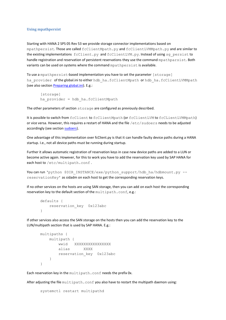#### <span id="page-12-0"></span>**Using mpathpersist**

Starting with HANA 2 SPS 05 Rev 53 we provide storage connector implementations based on mpathpersist. Those are called fcClientMpath.py and fcClientLVMMpath.py and are similar to the existing implementations fcClient.py and fcClientLVM.py. Instead of using sq persist to handle registration and reservation of persistent reservations they use the command mpathparsist. Both variants can be used on systems where the command mpathpersist is available.

To use a mpathpersist-based implementation you have to set the parameter [storage] ha provider of the global.ini to either hdb ha.fcClientMpath or hdb ha.fcClientLVMMpath (see also section [Preparing global.ini\)](#page-7-1). E.g.:

```
[storage]
ha_provider = hdb_ha.fcClientMpath
```
The other parameters of section storage are configured as previously described.

It is possible to switch from fcClient to fcClientMpath (or fcClientLVM to fcCLientLVMMpath) or vice versa. However, this requires a restart of HANA and the file /etc/sudoers needs to be adjusted accordingly (see section [sudoers\)](#page-9-4).

One advantage of this implementation over fcClient.py is that it can handle faulty device paths during a HANA startup. I.e., not all device paths must be running during startup.

Further it allows automatic registration of reservation keys in case new device paths are added to a LUN or become active again. However, for this to work you have to add the reservation key used by SAP HANA for each host to /etc/multipath.conf.

You can run 'python \$DIR\_INSTANCE/exe/python\_support/hdb\_ha/hdbmount.py -reservationKey' as sidadm on each host to get the corresponding reservation keys.

If no other services on the hosts are using SAN storage, then you can add on each host the corresponding reservation key to the default section of the multipath.conf, e.g.:

```
defaults {
    reservation_key 0x123abc
}
```
If other services also access the SAN storage on the hosts then you can add the reservation key to the LUN/multipath section that is used by SAP HANA. E.g.:

```
multipaths {
    multipath {
        wwid XXXXXXXXXXXXXXXX
        alias XXXX
        reservation_key 0x123abc
     }
}
```
Each reservation key in the multipath.conf needs the prefix 0x.

After adjusting the file multipath.conf you also have to restart the multipath daemon using:

```
systemctl restart multipathd
```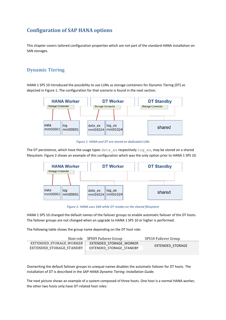## <span id="page-13-0"></span>**Configuration of SAP HANA options**

This chapter covers tailored configuration properties which are not part of the standard HANA installation on SAN storages.

## <span id="page-13-1"></span>**Dynamic Tiering**

HANA 1 SPS 10 introduced the possibility to use LUNs as storage containers for Dynamic Tiering (DT) as depicted in Figure 1. The configuration for that scenario is found in the next section.



*Figure 1: HANA and DT are stored on dedicated LUNs*

The DT persistence, which have the usage types data  $es$  respectively  $log\ e$ s, may be stored on a shared filesystem. Figure 2 shows an example of this configuration which was the only option prior to HANA 1 SPS 10.



*Figure 2: HANA uses SAN while DT resides on the shared filesystem*

HANA 1 SPS 10 changed the default names of the failover groups to enable automatic failover of the DT hosts. The failover groups are not changed when an upgrade to HANA 1 SPS 10 or higher is performed.

The following table shows the group name depending on the DT host role:

|                          | Host role SPS09 Failover Group | SPS10 Failover Group |
|--------------------------|--------------------------------|----------------------|
| EXTENDED STORAGE WORKER  | EXTENDED STORAGE WORKER        |                      |
| EXTENDED STORAGE STANDBY | EXTENDED STORAGE STANDBY       | EXTENDED STORAGE     |
|                          |                                |                      |

Overwriting the default failover groups to unequal names disables the automatic failover for DT hosts. The installation of DT is described in the *SAP HANA Dynamic Tiering: Installation Guide.*

The next picture shows an example of a system composed of three hosts. One host is a normal HANA worker, the other two hosts only have DT-related host roles: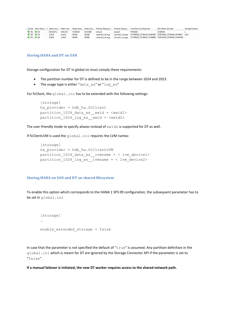|                            |  |          |               |             |             |                  |         | Active Host Status F Name Serv Name Ser Index Serve Index Serv Failover Group (C Failover Group ( Host Roles (Configured) | Host Roles (Actual) | Storage Partition |
|----------------------------|--|----------|---------------|-------------|-------------|------------------|---------|---------------------------------------------------------------------------------------------------------------------------|---------------------|-------------------|
| $OYES$ $OYES$              |  | MASTER 1 | <b>MASTER</b> | WORKER      | MASTER      | default          | default | <b>WORKER</b>                                                                                                             | WORKER              |                   |
| $\bullet$ YES $\bullet$ OK |  | SLAVE    | SLAVE         | <b>NONE</b> | <b>NONE</b> | extended storage |         | extended storage   EXTENDED STORAGE WORKER   EXTENDED STORAGE WORKER   1024                                               |                     |                   |
| <b>■ YES ■ OK</b>          |  | SLAVE    | SLAVE         | <b>NONE</b> | <b>NONE</b> | extended storage |         | extended storage EXTENDED STORAGE STANDBY EXTENDED STORAGE STANDBY -                                                      |                     |                   |

#### <span id="page-14-0"></span>**Storing HANA and DT on SAN**

Storage configuration for DT in global.ini must comply these requirements:

- The partition number for DT is defined to be in the range between 1024 and 2023.
- The usage type is either "data es" or "log es"

For fcClient, the  $q$ lobal.ini has to be extended with the following settings:

```
[storage]
ha provider = hdb ha.fcClientpartition 1024 data es wwid = \langlewwid1>
partition 1024 log es wwid = <wwid2>
```
The user-friendly mode to specify aliases instead of wwids is supported for DT as well.

If fcClientLVM is used the global.ini requires the LVM names:

```
[storage]
ha_provider = hdb_ha.fcClientLVM 
partition 1024 data es lvmname = < lvm device1>
partition 1024 log es lvmname = < lvm device2>
```
#### <span id="page-14-1"></span>**Storing HANA on SAN and DT on shared filesystem**

To enable this option which corresponds to the HANA 1 SPS 09 configuration, the subsequent parameter has to be set in global.ini

```
[storage]
…
enable extended storage = false
```
In case that the parameter is not specified the default of " $true$ " is assumed. Any partition definition in the global.ini which is meant for DT are ignored by the Storage Connector API if the parameter is set to "false".

**If a manual failover is initiated, the new DT worker requires access to the shared network path.**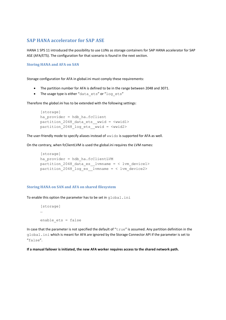### **SAP HANA accelerator for SAP ASE**

HANA 1 SPS 11 introduced the possibility to use LUNs as storage containers for SAP HANA accelerator for SAP ASE (AFA/ETS). The configuration for that scenario is found in the next section.

#### <span id="page-15-0"></span>**Storing HANA and AFA on SAN**

Storage configuration for AFA in global.ini must comply these requirements:

- The partition number for AFA is defined to be in the range between 2048 and 3071.
- The usage type is either "data ets" or "log ets"

Therefore the *global.ini* has to be extended with the following settings:

```
[storage]
ha provider = hdb ha.fcClientpartition 2048 data ets wwid = <wwid1>
partition 2048 log ets wwid = <wwid2>
```
The user-friendly mode to specify aliases instead of wwids is supported for AFA as well.

On the contrary, when fcClientLVM is used the global.ini requires the LVM names:

```
[storage]
ha_provider = hdb_ha.fcClientLVM 
partition 2048 data es lvmname = < lvm device1>
partition 2048 log es lvmname = < lvm device2>
```
#### <span id="page-15-1"></span>**Storing HANA on SAN and AFA on shared filesystem**

To enable this option the parameter has to be set in global.ini

```
[storage]
…
enable_ets = false
```
In case that the parameter is not specified the default of " $true$ " is assumed. Any partition definition in the global.ini which is meant for AFA are ignored by the Storage Connector API if the parameter is set to "false".

**If a manual failover is initiated, the new AFA worker requires access to the shared network path.**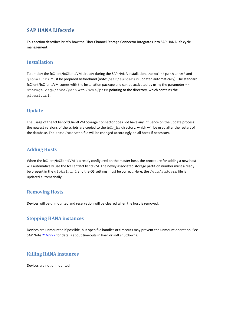## <span id="page-16-0"></span>**SAP HANA Lifecycle**

This section describes briefly how the Fiber Channel Storage Connector integrates into SAP HANA life cycle management.

### <span id="page-16-1"></span>**Installation**

To employ the fcClient/fcClientLVM already during the SAP HANA installation, the multipath.conf and global.ini must be prepared beforehand (note: /etc/sudoers is updated automatically). The standard fcClient/fcClientLVM comes with the installation package and can be activated by using the parameter - storage  $cfg=/some/path$  with /some/path pointing to the directory, which contains the global.ini.

## <span id="page-16-2"></span>**Update**

The usage of the fcClient/fcClientLVM Storage Connector does not have any influence on the update process: the newest versions of the scripts are copied to the hdb ha directory, which will be used after the restart of the database. The /etc/sudoers file will be changed accordingly on all hosts if necessary.

### <span id="page-16-3"></span>**Adding Hosts**

When the fcClient/fcClientLVM is already configured on the master host, the procedure for adding a new host will automatically use the fcClient/fcClientLVM. The newly associated storage partition number must already be present in the global. ini and the OS settings must be correct. Here, the /etc/sudoers file is updated automatically.

### <span id="page-16-4"></span>**Removing Hosts**

Devices will be unmounted and reservation will be cleared when the host is removed.

### <span id="page-16-5"></span>**Stopping HANA instances**

Devices are unmounted if possible, but open file handles or timeouts may prevent the unmount operation. See SAP Note [2167727](http://service.sap.com/sap/support/notes/2167727) for details about timeouts in hard or soft shutdowns.

#### <span id="page-16-6"></span>**Killing HANA instances**

Devices are not unmounted.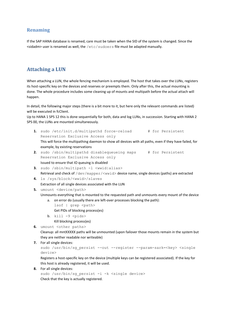## <span id="page-17-0"></span>**Renaming**

If the SAP HANA database is renamed, care must be taken when the SID of the system is changed. Since the  $\le$ sidadm> user is renamed as well, the /etc/sudoers file must be adapted manually.

## <span id="page-17-1"></span>**Attaching a LUN**

When attaching a LUN, the whole fencing mechanism is employed. The host that takes over the LUNs, registers its host-specific key on the devices and reserves or preempts them. Only after this, the actual mounting is done. The whole procedure includes some cleaning up of mounts and multipath before the actual attach will happen.

In detail, the following major steps (there is a bit more to it, but here only the relevant commands are listed) will be executed in fcClient.

Up to HANA 1 SPS 12 this is done sequentially for both, data and log LUNs, in succession. Starting with HANA 2 SPS 00, the LUNs are mounted simultaneously.

- **1.** sudo /etc/init.d/multipathd force-reload # for Persistent Reservation Exclusive Access only This will force the multipathing daemon to show all devices with all paths, even if they have failed, for example, by existing reservations
- **2.** sudo /sbin/multipathd disablequeueing maps # for Persistent Reservation Exclusive Access only Issued to ensure that IO queuing is disabled
- **3.** sudo /sbin/multipath -l <wwid|alias> Retrieval and check of /dev/mapper/<wwid> device name, single devices (paths) are extracted
- **4.** ls /sys/block/<wwid>/slaves Extraction of all single devices associated with the LUN
- **5.** umount <device/path>

Unmounts everything that is mounted to the requested path and unmounts every mount of the device

- a. on error do (usually there are left-over processes blocking the path): lsof | grep <path> Get PIDs of blocking process(es)
- b.  $kill -9$  <pids>

Kill blocking process(es)

6. umount <other paths>

Cleanup: all mntXXXXX paths will be unmounted (upon failover those mounts remain in the system but they are neither readable nor writeable)

**7.** For all single devices:

```
sudo /usr/bin/sg_persist --out --register --param-sark=<key> <single
device>
```
Registers a host-specific key on the device (multiple keys can be registered associated). If the key for this host is already registered, it will be used.

**8.** For all single devices:

sudo /usr/bin/sq persist -i -k <single device> Check that the key is actually registered.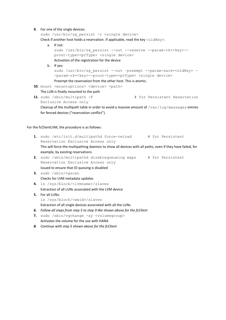#### **9.** For one of the single devices:

sudo /usr/bin/sg persist -r <single device>

Check if another host holds a reservation. If applicable, read the key  $\text{coldKey}$ .

- a. If not: sudo /usr/bin/sg\_persist --out --reserve --param-rk=<key>- prout-type=<prType> <single device> Activation of the registration for the device b. If yes: sudo /usr/bin/sg persist --out -preempt --param-sark=<oldKey> --param-rk=<key>--prout-type=<prType> <single device> Preempt the reservation from the other host. This is atomic.
- 10. mount <mountoptions> <device> <path>
- The LUN is finally mounted to the path
- **11.** sudo /sbin/multipath -F  $\qquad$  # for Persistent Reservation Exclusive Access only

Cleanup of the multipath table in order to avoid a massive amount of  $/var/log/m$ essages entries for fenced devices ("reservation conflict").

For the fcClientLVM, the procedure is as follows:

**1.** sudo /etc/init.d/multipathd force-reload # for Persistent Reservation Exclusive Access only This will force the multipathing daemon to show all devices with all paths, even if they have failed, for example, by existing reservations

**2.** sudo /sbin/multipathd disablequeueing maps # for Persistent Reservation Exclusive Access only Issued to ensure that IO queuing is disabled

- **3.** sudo /sbin/vgscan Checks for LVM metadata updates
- **4.** ls /sys/block/<lvmname>/slaves Extraction of all LUNs associated with the LVM device
- **5.** For all LUNs: ls /sys/block/<wwid>/slaves Extraction of all single devices associated with all the LUNs
- *6. Follow all steps from step 5 to step 9 like shown above for the fcClient*
- **7.** sudo /sbin/vgchange -ay <volumegroup> Activates the volume for the use with HANA
- *8. Continue with step 5 shown above for the fcClient*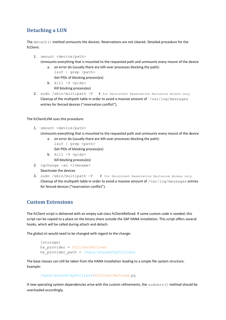## <span id="page-19-0"></span>**Detaching a LUN**

The detach() method unmounts the devices. Reservations are not cleared. Detailed procedure for the fcClient:

- 1. umount <device/path> Unmounts everything that is mounted to the requested path and unmounts every mount of the device
	- a. on error do (usually there are left-over processes blocking the path): lsof | grep <path>

Get PIDs of blocking process(es)

- b.  $kill -9$  <pids> Kill blocking process(es)
- 2. sudo /sbin/multipath -F# for Persistent Reservation Exclusive Access only Cleanup of the multipath table in order to avoid a massive amount of  $/\text{var}/\text{log/messages}$ entries for fenced devices ("reservation conflict").

The fcClientLVM uses this procedure:

- 1. umount <device/path>
	- Unmounts everything that is mounted to the requested path and unmounts every mount of the device a. on error do (usually there are left-over processes blocking the path):
		- lsof | grep <path> Get PIDs of blocking process(es)
		- b.  $kill -9$  <pids>
			- Kill blocking process(es)
- 2. vgchange -an <lvmname> Deactivate the devices
- 3. sudo /sbin/multipath -F # for Persistent Reservation Exclusive Access only Cleanup of the multipath table in order to avoid a massive amount of  $/var/log/m$ essages entries for fenced devices ("reservation conflict").

## <span id="page-19-1"></span>**Custom Extensions**

The fcClient script is delivered with an empty sub-class fcClientRefined. If some custom code is needed, this script can be copied to a place on the binary share outside the SAP HANA installation. This script offers several hooks, which will be called during attach and detach.

The global.ini would need to be changed with regard to the change:

```
[storage]
ha_provider = fcClientRefined
ha provider path = /hana/shared/myFcClient
```
The base classes can still be taken from the HANA installation leading to a simple file system structure. Example:

```
/hana/shared/myFcClient/fcClientRefined.py
```
If new operating system dependencies arise with the custom refinements, the sudoers () method should be overloaded accordingly.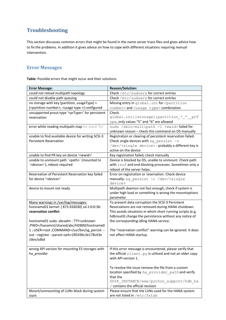## <span id="page-20-0"></span>**Troubleshooting**

This section discusses common errors that might be found in the name server trace files and gives advice how to fix the problems. In addition it gives advice on how to cope with different situations requiring manual intervention.

## <span id="page-20-1"></span>**Error Messages**

**Table:** Possible errors that might occur and their solutions.

| <b>Error Message:</b>                                                    | <b>Reason/Solution:</b>                                                                                 |
|--------------------------------------------------------------------------|---------------------------------------------------------------------------------------------------------|
| could not reload multipath topology                                      | Check /etc/sudoers for correct entries                                                                  |
| could not disable path queuing                                           | Check /etc/sudoers for correct entries                                                                  |
| no storage with key (partition, usageType) =                             | Missing entry in global. ini for <partition< td=""></partition<>                                        |
| ( <partition number="">, <usage type="">) configured</usage></partition> | number> and <usage type=""> combination</usage>                                                         |
| unsupported prout-type ' <prtype>' for persistent</prtype>               | Check                                                                                                   |
| reservation                                                              | global.ini: [storage]: partition * * prT                                                                |
|                                                                          | ype, only values "5" and "6" are allowed                                                                |
| error while reading multipath map for wwid '%s'                          | sudo /sbin/multipath -1 <wwid>failed for</wwid>                                                         |
|                                                                          | unknown reason - check this command on OS manually                                                      |
| unable to find available device for writing SCSI-3                       | Registration or clearing of persistent reservation failed.                                              |
| <b>Persistent Reservation</b>                                            | Check single devices with sg persist $-r$                                                               |
|                                                                          | /dev/ <single device=""> - probably a different key is</single>                                         |
|                                                                          | active on the device                                                                                    |
| unable to find PR key on device ' <wwid>'</wwid>                         | Key registration failed, check manually                                                                 |
| unable to unmount path ` <path>` (mounted to</path>                      | Device is blocked by OS, unable to unmount. Check path                                                  |
| ' <device>'), reboot required</device>                                   | with lsof and end blocking processes. Sometimes only a                                                  |
|                                                                          | reboot of the server helps.                                                                             |
| Reservation of Persistent Reservation key failed                         | Error on registration or reservation. Check device                                                      |
| for device ' <device>'</device>                                          | manually: sg_persist -r /dev/ <single<br>device&gt;</single<br>                                         |
| device to mount not ready                                                | Multipath daemon not fast enough, check if system is                                                    |
|                                                                          | under high load or something is wrong the mountoptions                                                  |
|                                                                          | parameter                                                                                               |
| Many warnings in /var/log/messages:                                      | To prevent data corruption the SCSI-3 Persistent                                                        |
| hostname01 kernel: [ 873.926030] sd 2:0:0:36:                            | Reservations are not removed during HANA shutdown.                                                      |
| reservation conflict                                                     | This avoids situations in which short running scripts (e.g.                                             |
|                                                                          | hdbnsutil) change the persistence without any notice of                                                 |
| hostname01 sudo: abcadm: TTY=unknown                                     | the corresponding idling HANA service.                                                                  |
| ;PWD=/hanamnt/shared/abc/HDB00/hostname0                                 |                                                                                                         |
| 1 ; USER=root ; COMMAND=/usr/bin/sg_persist --                           | The "reservation conflict" warning can be ignored. It does                                              |
| out --register --param-sark=285436c3e178c43e                             | not affect HANA startup.                                                                                |
| /dev/sdbd                                                                |                                                                                                         |
|                                                                          |                                                                                                         |
| wrong API version for mounting ES storages with                          | If this error message is encountered, please verify that                                                |
| ha provider                                                              | the official client.py is utilized and not an older copy                                                |
|                                                                          | with API version 1.                                                                                     |
|                                                                          |                                                                                                         |
|                                                                          | To resolve the issue remove the file from a custom<br>location specified by ha provider path and verify |
|                                                                          | that the                                                                                                |
|                                                                          | \$DIR INSTANCE/exe/python support/hdb ha                                                                |
|                                                                          | / contains the official revision                                                                        |
| Mount/unmounting of LUNs block during system                             | Please ensure that the LUNs used for the HANA system                                                    |
| start:                                                                   | are not listed in /etc/fstab                                                                            |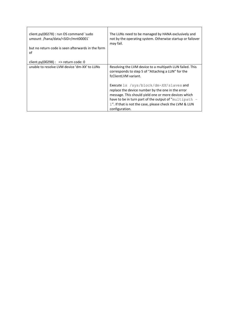| client.py(00278) : run OS command `sudo<br>umount /hana/data/ <sid>/mnt00001`<br/>but no return code is seen afterwards in the form<br/>οf</sid> | The LUNs need to be managed by HANA exclusively and<br>not by the operating system. Otherwise startup or failover<br>may fail.                                                                                                                                                            |
|--------------------------------------------------------------------------------------------------------------------------------------------------|-------------------------------------------------------------------------------------------------------------------------------------------------------------------------------------------------------------------------------------------------------------------------------------------|
| client.py(00298) : = > return code: 0                                                                                                            |                                                                                                                                                                                                                                                                                           |
| unable to resolve LVM device 'dm-XX' to LUNs                                                                                                     | Resolving the LVM device to a multipath LUN failed. This<br>corresponds to step 5 of "Attaching a LUN" for the<br>fcClientLVM variant.                                                                                                                                                    |
|                                                                                                                                                  | Execute 1s /sys/block/dm-XX/slaves and<br>replace the device number by the one in the error<br>message. This should yield one or more devices which<br>have to be in turn part of the output of "multipath -<br>1". If that is not the case, please check the LVM & LUN<br>configuration. |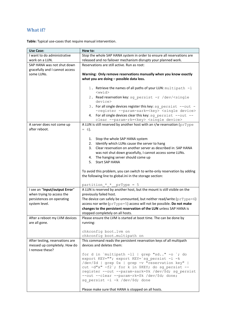## <span id="page-22-0"></span>**What if?**

| Use Case:                                                    | How to:                                                                                                      |
|--------------------------------------------------------------|--------------------------------------------------------------------------------------------------------------|
| I want to do administrative                                  | Stop the whole SAP HANA system in order to ensure all reservations are                                       |
| work on a LUN.                                               | released and no failover mechanism disrupts your planned work.                                               |
| SAP HANA was not shut down<br>gracefully and I cannot access | Reservations are still active. Run as root:                                                                  |
| some LUNs.                                                   | Warning: Only remove reservations manually when you know exactly<br>what you are doing - possible data loss. |
|                                                              | 1. Retrieve the names of all paths of your LUN: multipath -1                                                 |

**Table:** Typical use-cases that require manual intervention.

| work on a LUN.                  | released and no failover mechanism disrupts your planned work.                                                                 |
|---------------------------------|--------------------------------------------------------------------------------------------------------------------------------|
| SAP HANA was not shut down      | Reservations are still active. Run as root:                                                                                    |
| gracefully and I cannot access  |                                                                                                                                |
| some LUNs.                      | Warning: Only remove reservations manually when you know exactly                                                               |
|                                 | what you are doing - possible data loss.                                                                                       |
|                                 |                                                                                                                                |
|                                 | 1. Retrieve the names of all paths of your LUN: multipath -1                                                                   |
|                                 | $<$ wwid $>$                                                                                                                   |
|                                 | 2. Read reservation key: sg persist -r /dev/ <single< td=""></single<>                                                         |
|                                 | device>                                                                                                                        |
|                                 | 3. For all single devices register this key: sg persist --out -                                                                |
|                                 | -register --param-sark= <key> <single device=""><br/>For all single devices clear this key: sg persist --out --</single></key> |
|                                 | 4.<br>clear --param-rk= <key> <single device=""></single></key>                                                                |
| A server does not come up       | A LUN is still reserved by another host with an r/w reservation (prType                                                        |
| after reboot.                   | $= 6$ ).                                                                                                                       |
|                                 |                                                                                                                                |
|                                 | Stop the whole SAP HANA system<br>1.                                                                                           |
|                                 | Identify which LUNs cause the server to hang<br>2.                                                                             |
|                                 | Clear reservation on another server as described in: SAP HANA<br>3.                                                            |
|                                 | was not shut down gracefully, I cannot access some LUNs.                                                                       |
|                                 | The hanging server should come up<br>4.                                                                                        |
|                                 | <b>Start SAP HANA</b><br>5.                                                                                                    |
|                                 |                                                                                                                                |
|                                 | To avoid this problem, you can switch to write-only reservation by adding                                                      |
|                                 | the following line to global.ini in the storage section:                                                                       |
|                                 |                                                                                                                                |
|                                 | partition $*$ * prType = 5                                                                                                     |
| I see an "Input/output Error"   | A LUN is reserved by another host, but the mount is still visible on the                                                       |
| when trying to access the       | previously failed host.                                                                                                        |
| persistences on operating       | The device can safely be unmounted, but neither read/write ( $pTType=6$ )                                                      |
| system level.                   | access nor write (prType=5) access will not be possible. Do not make                                                           |
|                                 | changes to the persistent reservation of the LUN unless SAP HANA is<br>stopped completely on all hosts.                        |
| After a reboot my LVM devices   | Please ensure the LVM is started at boot time. The can be done by                                                              |
| are all gone.                   | running:                                                                                                                       |
|                                 |                                                                                                                                |
|                                 | chkconfig boot. lvm on                                                                                                         |
|                                 | chkconfig boot.multipath on                                                                                                    |
| After testing, reservations are | This command reads the persistent reservation keys of all multipath                                                            |
| messed up completely. How do    | devices and deletes them:                                                                                                      |
| I remove these?                 |                                                                                                                                |
|                                 | for d in `multipath $-11$   grep "sd" $-0$ ; do                                                                                |
|                                 | export KEY=""; export KEY='sg persist -i -k                                                                                    |
|                                 | /dev/\$d   grep 0x   grep -v "reservation key"                                                                                 |
|                                 | cut -d"x" -f2'; for k in \$KEY; do sg persist --                                                                               |
|                                 | register --out --param-sark=\$k /dev/\$d; sg persist<br>--out --clear --param-rk=\$k /dev/\$d; done;                           |
|                                 | sg persist -i -k /dev/\$d; done                                                                                                |
|                                 |                                                                                                                                |
|                                 | Please make sure that HANA is stopped on all hosts.                                                                            |
|                                 |                                                                                                                                |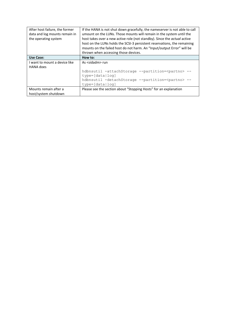| After host failure, the former<br>data and log mounts remain in<br>the operating system | If the HANA is not shut down gracefully, the nameserver is not able to call<br>umount on the LUNs. Those mounts will remain in the system until the<br>host takes over a new active role (not standby). Since the actual active<br>host on the LUNs holds the SCSI-3 persistent reservations, the remaining |  |  |
|-----------------------------------------------------------------------------------------|-------------------------------------------------------------------------------------------------------------------------------------------------------------------------------------------------------------------------------------------------------------------------------------------------------------|--|--|
|                                                                                         | mounts on the failed host do not harm. An "Input/output Error" will be                                                                                                                                                                                                                                      |  |  |
|                                                                                         | thrown when accessing those devices.                                                                                                                                                                                                                                                                        |  |  |
| <b>Use Case:</b>                                                                        | How to:                                                                                                                                                                                                                                                                                                     |  |  |
| I want to mount a device like                                                           | As <sidadm> run</sidadm>                                                                                                                                                                                                                                                                                    |  |  |
| <b>HANA</b> does                                                                        |                                                                                                                                                                                                                                                                                                             |  |  |
|                                                                                         | hdbnsutil -attachStorage --partition= <partno> --</partno>                                                                                                                                                                                                                                                  |  |  |
|                                                                                         | $type=[data log]$                                                                                                                                                                                                                                                                                           |  |  |
|                                                                                         | hdbnsutil -detachStorage --partition= <partno> --</partno>                                                                                                                                                                                                                                                  |  |  |
|                                                                                         | $type=[data log]$                                                                                                                                                                                                                                                                                           |  |  |
| Mounts remain after a                                                                   | Please see the section about "Stopping Hosts" for an explanation                                                                                                                                                                                                                                            |  |  |
| host/system shutdown                                                                    |                                                                                                                                                                                                                                                                                                             |  |  |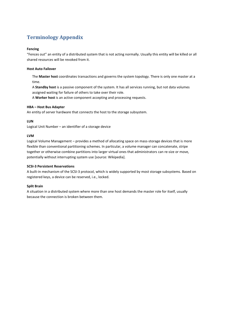## <span id="page-24-0"></span>**Terminology Appendix**

#### **Fencing**

"Fences out" an entity of a distributed system that is not acting normally. Usually this entity will be killed or all shared resources will be revoked from it.

#### **Host Auto Failover**

The **Master host** coordinates transactions and governs the system topology. There is only one master at a time.

A **Standby host** is a passive component of the system. It has all services running, but not data volumes assigned waiting for failure of others to take over their role.

A **Worker host** is an active component accepting and processing requests.

#### **HBA – Host Bus Adapter**

An entity of server hardware that connects the host to the storage subsystem.

#### **LUN**

Logical Unit Number – an identifier of a storage device

#### **LVM**

Logical Volume Management – provides a method of allocating space on mass-storage devices that is more flexible than conventional partitioning schemes. In particular, a volume manager can concatenate, stripe together or otherwise combine partitions into larger virtual ones that administrators can re-size or move, potentially without interrupting system use [source: Wikipedia].

#### **SCSI-3 Persistent Reservations**

A built-in mechanism of the SCSI-3 protocol, which is widely supported by most storage subsystems. Based on registered keys, a device can be reserved, i.e., locked.

#### **Split Brain**

A situation in a distributed system where more than one host demands the master role for itself, usually because the connection is broken between them.